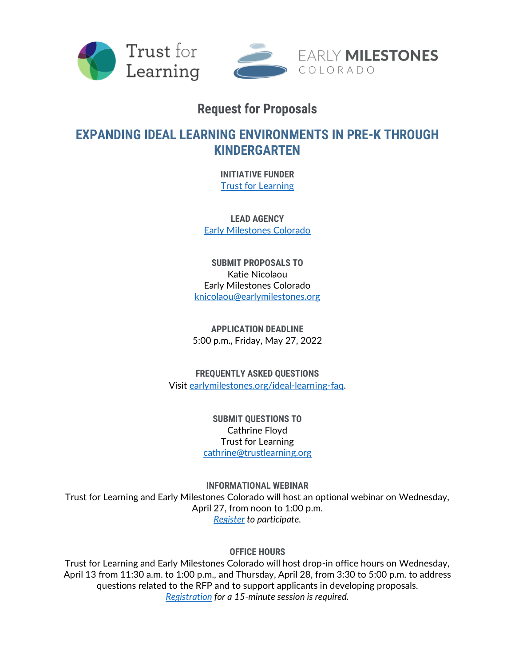



# **Request for Proposals**

# **EXPANDING IDEAL LEARNING ENVIRONMENTS IN PRE-K THROUGH KINDERGARTEN**

**INITIATIVE FUNDER** [Trust for Learning](http://trustforlearning.org/)

**LEAD AGENCY** [Early Milestones Colorado](http://earlymilestones.org/)

**SUBMIT PROPOSALS TO** Katie Nicolaou Early Milestones Colorado [knicolaou@earlymilestones.org](mailto:knicolaou@earlymilestones.org)

**APPLICATION DEADLINE** 5:00 p.m., Friday, May 27, 2022

**FREQUENTLY ASKED QUESTIONS** Visit [earlymilestones.org/ideal-learning-faq.](http://earlymilestones.org/ideal-learning-faq)

> **SUBMIT QUESTIONS TO** Cathrine Floyd Trust for Learning [cathrine@trustlearning.org](mailto:knicolaou@earlymilestones.org)

**INFORMATIONAL WEBINAR** Trust for Learning and Early Milestones Colorado will host an optional webinar on Wednesday, April 27, from noon to 1:00 p.m. *[Register](https://zoom.us/meeting/register/tJEscOmoqzooHdSlcVt6R5Dq8iUih87yZge7) to participate.* 

**OFFICE HOURS**

Trust for Learning and Early Milestones Colorado will host drop-in office hours on Wednesday, April 13 from 11:30 a.m. to 1:00 p.m., and Thursday, April 28, from 3:30 to 5:00 p.m. to address questions related to the RFP and to support applicants in developing proposals. *[Registration](https://calendly.com/knicolaou/ideal-learning-grants-office-hours) for a 15-minute session is required.*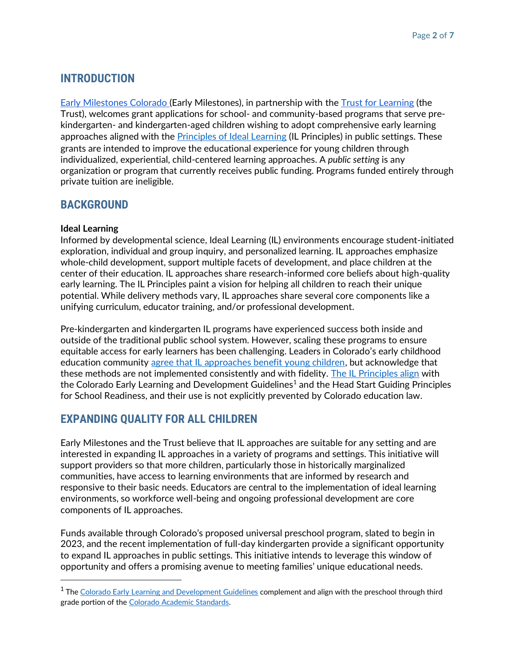# **INTRODUCTION**

[Early Milestones Colorado \(](https://earlymilestones.org/)Early Milestones), in partnership with the [Trust for Learning](https://trustforlearning.org/) (the Trust), welcomes grant applications for school- and community-based programs that serve prekindergarten- and kindergarten-aged children wishing to adopt comprehensive early learning approaches aligned with the **Principles of Ideal Learning** (IL Principles) in public settings. These grants are intended to improve the educational experience for young children through individualized, experiential, child-centered learning approaches. A *public setting* is any organization or program that currently receives public funding. Programs funded entirely through private tuition are ineligible.

## **BACKGROUND**

### **Ideal Learning**

[Informed by developmental science,](https://trustforlearning.org/evidence-brief/) Ideal Learning (IL) environments encourage student-initiated exploration, individual and group inquiry, and personalized learning. IL approaches emphasize whole-child development, support multiple facets of development, and place children at the center of their education. IL approaches share research-informed core beliefs about high-quality early learning. The IL Principles paint a vision for helping all children to reach their unique potential. While delivery methods vary, IL approaches share several core components like a unifying curriculum, educator training, and/or professional development.

Pre-kindergarten and kindergarten IL programs have experienced success both inside and outside of the traditional public school system. However, scaling these programs to ensure equitable access for early learners has been challenging. Leaders in Colorado's early childhood education community [agree that IL approaches benefit young children,](https://earlymilestones.org/wp-content/uploads/2020/01/Ideal-Learning-Report-Final-web.pdf) but acknowledge that these methods are not implemented consistently and with fidelity. [The IL Principles align](https://earlymilestones.org/wp-content/uploads/2021/01/Ideal-Learning-in-Colorado-Crosswalks.pdf) with the Colorado Early Learning and Development Guidelines<sup>1</sup> and the Head Start Guiding Principles for School Readiness, and their use is not explicitly prevented by Colorado education law.

### **EXPANDING QUALITY FOR ALL CHILDREN**

Early Milestones and the Trust believe that IL approaches are suitable for any setting and are interested in expanding IL approaches in a variety of programs and settings. This initiative will support providers so that more children, particularly those in historically marginalized communities, have access to learning environments that are informed by research and responsive to their basic needs. Educators are central to the implementation of ideal learning environments, so workforce well-being and ongoing professional development are core components of IL approaches.

Funds available through Colorado's proposed universal preschool program, slated to begin in 2023, and the recent implementation of full-day kindergarten provide a significant opportunity to expand IL approaches in public settings. This initiative intends to leverage this window of opportunity and offers a promising avenue to meeting families' unique educational needs.

 $^{\rm 1}$  The <u>Colorado Early Learning and Development Guidelines</u> complement and align with the preschool through third grade portion of th[e Colorado Academic Standards.](https://www.cde.state.co.us/apps/standards/)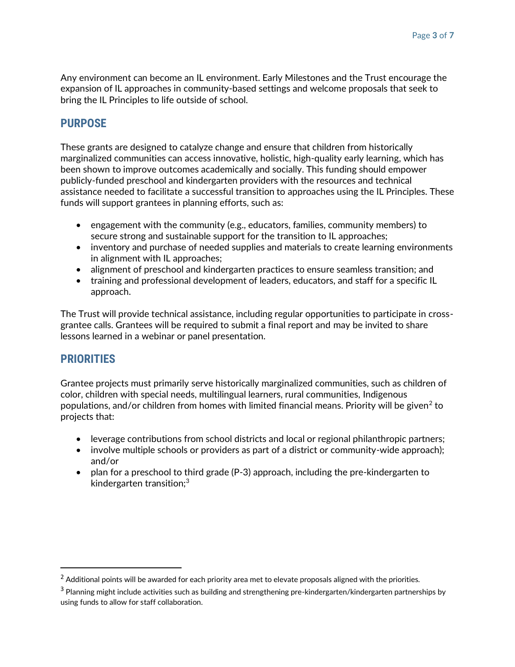Any environment can become an IL environment. Early Milestones and the Trust encourage the expansion of IL approaches in community-based settings and welcome proposals that seek to bring the IL Principles to life outside of school.

### **PURPOSE**

These grants are designed to catalyze change and ensure that children from historically marginalized communities can access innovative, holistic, high-quality early learning, which has been shown to improve outcomes academically and socially. This funding should empower publicly-funded preschool and kindergarten providers with the resources and technical assistance needed to facilitate a successful transition to approaches using the IL Principles. These funds will support grantees in planning efforts, such as:

- engagement with the community (e.g., educators, families, community members) to secure strong and sustainable support for the transition to IL approaches;
- inventory and purchase of needed supplies and materials to create learning environments in alignment with IL approaches;
- alignment of preschool and kindergarten practices to ensure seamless transition; and
- training and professional development of leaders, educators, and staff for a specific IL approach.

The Trust will provide technical assistance, including regular opportunities to participate in crossgrantee calls. Grantees will be required to submit a final report and may be invited to share lessons learned in a webinar or panel presentation.

### **PRIORITIES**

Grantee projects must primarily serve historically marginalized communities, such as children of color, children with special needs, multilingual learners, rural communities, Indigenous populations, and/or children from homes with limited financial means. Priority will be given $^2$  to projects that:

- leverage contributions from school districts and local or regional philanthropic partners;
- involve multiple schools or providers as part of a district or community-wide approach); and/or
- plan for a preschool to third grade (P-3) approach, including the pre-kindergarten to kindergarten transition; $3$

 $2$  Additional points will be awarded for each priority area met to elevate proposals aligned with the priorities.

<sup>&</sup>lt;sup>3</sup> Planning might include activities such as building and strengthening pre-kindergarten/kindergarten partnerships by using funds to allow for staff collaboration.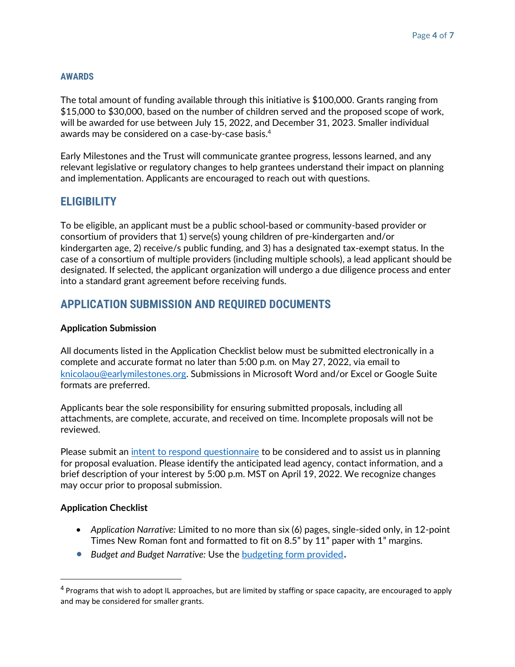### **AWARDS**

The total amount of funding available through this initiative is \$100,000. Grants ranging from \$15,000 to \$30,000, based on the number of children served and the proposed scope of work, will be awarded for use between July 15, 2022, and December 31, 2023. Smaller individual awards may be considered on a case-by-case basis.<sup>4</sup>

Early Milestones and the Trust will communicate grantee progress, lessons learned, and any relevant legislative or regulatory changes to help grantees understand their impact on planning and implementation. Applicants are encouraged to reach out with questions.

### **ELIGIBILITY**

To be eligible, an applicant must be a public school-based or community-based provider or consortium of providers that 1) serve(s) young children of pre-kindergarten and/or kindergarten age, 2) receive/s public funding, and 3) has a designated tax-exempt status. In the case of a consortium of multiple providers (including multiple schools), a lead applicant should be designated. If selected, the applicant organization will undergo a due diligence process and enter into a standard grant agreement before receiving funds.

## **APPLICATION SUBMISSION AND REQUIRED DOCUMENTS**

### **Application Submission**

All documents listed in the Application Checklist below must be submitted electronically in a complete and accurate format no later than 5:00 p.m. on May 27, 2022, via email to [knicolaou@earlymilestones.org.](mailto:knicolaou@earlymilestones.org) Submissions in Microsoft Word and/or Excel or Google Suite formats are preferred.

Applicants bear the sole responsibility for ensuring submitted proposals, including all attachments, are complete, accurate, and received on time. Incomplete proposals will not be reviewed.

Please submit an *intent to respond questionnaire* to be considered and to assist us in planning for proposal evaluation. Please identify the anticipated lead agency, contact information, and a brief description of your interest by 5:00 p.m. MST on April 19, 2022. We recognize changes may occur prior to proposal submission.

### **Application Checklist**

- *Application Narrative:* Limited to no more than six (6) pages, single-sided only, in 12-point Times New Roman font and formatted to fit on 8.5" by 11" paper with 1" margins.
- *Budget and Budget Narrative:* Use the [budgeting form provided](https://earlymilestones.org/wp-content/uploads/2022/03/IL-Budget-Template-2022.xlsx)**.**

<sup>&</sup>lt;sup>4</sup> Programs that wish to adopt IL approaches, but are limited by staffing or space capacity, are encouraged to apply and may be considered for smaller grants.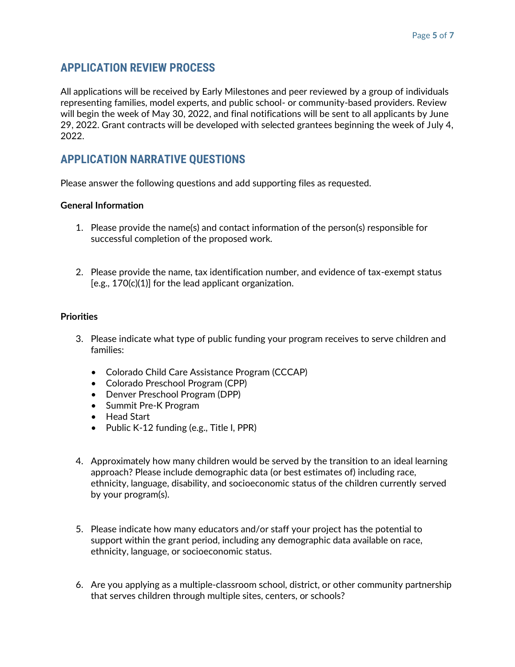## **APPLICATION REVIEW PROCESS**

All applications will be received by Early Milestones and peer reviewed by a group of individuals representing families, model experts, and public school- or community-based providers. Review will begin the week of May 30, 2022, and final notifications will be sent to all applicants by June 29, 2022. Grant contracts will be developed with selected grantees beginning the week of July 4, 2022.

# **APPLICATION NARRATIVE QUESTIONS**

Please answer the following questions and add supporting files as requested.

### **General Information**

- 1. Please provide the name(s) and contact information of the person(s) responsible for successful completion of the proposed work.
- 2. Please provide the name, tax identification number, and evidence of tax-exempt status [e.g., 170(c)(1)] for the lead applicant organization.

### **Priorities**

- 3. Please indicate what type of public funding your program receives to serve children and families:
	- Colorado Child Care Assistance Program (CCCAP)
	- Colorado Preschool Program (CPP)
	- Denver Preschool Program (DPP)
	- Summit Pre-K Program
	- Head Start
	- Public K-12 funding (e.g., Title I, PPR)
- 4. Approximately how many children would be served by the transition to an ideal learning approach? Please include demographic data (or best estimates of) including race, ethnicity, language, disability, and socioeconomic status of the children currently served by your program(s).
- 5. Please indicate how many educators and/or staff your project has the potential to support within the grant period, including any demographic data available on race, ethnicity, language, or socioeconomic status.
- 6. Are you applying as a multiple-classroom school, district, or other community partnership that serves children through multiple sites, centers, or schools?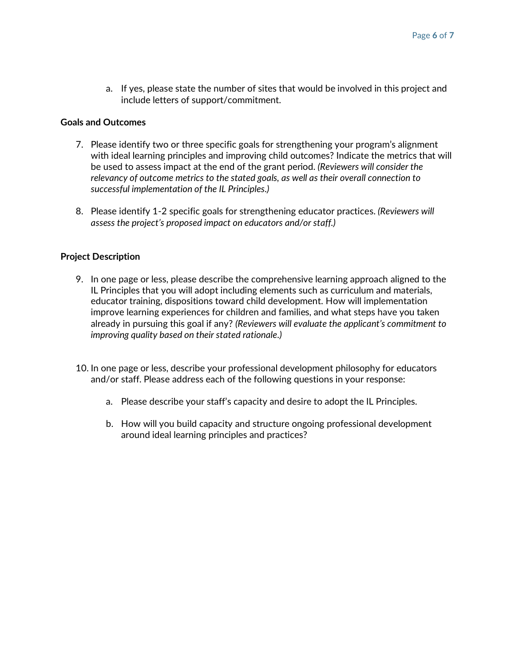a. If yes, please state the number of sites that would be involved in this project and include letters of support/commitment.

### **Goals and Outcomes**

- 7. Please identify two or three specific goals for strengthening your program's alignment with ideal learning principles and improving child outcomes? Indicate the metrics that will be used to assess impact at the end of the grant period. *(Reviewers will consider the relevancy of outcome metrics to the stated goals, as well as their overall connection to successful implementation of the IL Principles.)*
- 8. Please identify 1-2 specific goals for strengthening educator practices. *(Reviewers will assess the project's proposed impact on educators and/or staff.)*

#### **Project Description**

- 9. In one page or less, please describe the comprehensive learning approach aligned to the IL Principles that you will adopt including elements such as curriculum and materials, educator training, dispositions toward child development. How will implementation improve learning experiences for children and families, and what steps have you taken already in pursuing this goal if any? *(Reviewers will evaluate the applicant's commitment to improving quality based on their stated rationale.)*
- 10. In one page or less, describe your professional development philosophy for educators and/or staff. Please address each of the following questions in your response:
	- a. Please describe your staff's capacity and desire to adopt the IL Principles.
	- b. How will you build capacity and structure ongoing professional development around ideal learning principles and practices?